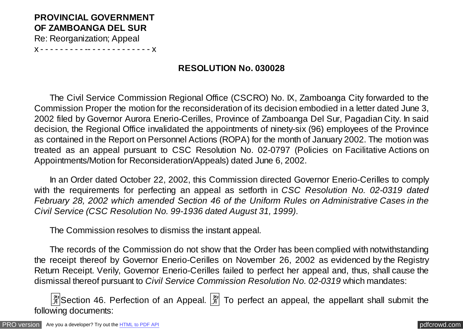## **PROVINCIAL GOVERNMENT OF ZAMBOANGA DEL SUR**

Re: Reorganization; Appeal

x - - - - - - - - - -- - - - - - - - - - - - - x

## **RESOLUTION No. 030028**

 The Civil Service Commission Regional Office (CSCRO) No. IX, Zamboanga City forwarded to the Commission Proper the motion for the reconsideration of its decision embodied in a letter dated June 3, 2002 filed by Governor Aurora Enerio-Cerilles, Province of Zamboanga Del Sur, Pagadian City. In said decision, the Regional Office invalidated the appointments of ninety-six (96) employees of the Province as contained in the Report on Personnel Actions (ROPA) for the month of January 2002. The motion was treated as an appeal pursuant to CSC Resolution No. 02-0797 (Policies on Facilitative Actions on Appointments/Motion for Reconsideration/Appeals) dated June 6, 2002.

 In an Order dated October 22, 2002, this Commission directed Governor Enerio-Cerilles to comply with the requirements for perfecting an appeal as setforth in *CSC Resolution No. 02-0319 dated February 28, 2002 which amended Section 46 of the Uniform Rules on Administrative Cases in the Civil Service (CSC Resolution No. 99-1936 dated August 31, 1999)*.

The Commission resolves to dismiss the instant appeal.

 The records of the Commission do not show that the Order has been complied with notwithstanding the receipt thereof by Governor Enerio-Cerilles on November 26, 2002 as evidenced by the Registry Return Receipt. Verily, Governor Enerio-Cerilles failed to perfect her appeal and, thus, shall cause the dismissal thereof pursuant to *Civil Service Commission Resolution No. 02-0319* which mandates:

 $\mathbb{F}$ Section 46. Perfection of an Appeal.  $\mathbb{F}$  To perfect an appeal, the appellant shall submit the following documents:

[PRO version](http://pdfcrowd.com/customize/) Are you a developer? Try out th[e HTML to PDF API](http://pdfcrowd.com/html-to-pdf-api/?ref=pdf) process and the example of the HTML to PDF API [pdfcrowd.com](http://pdfcrowd.com)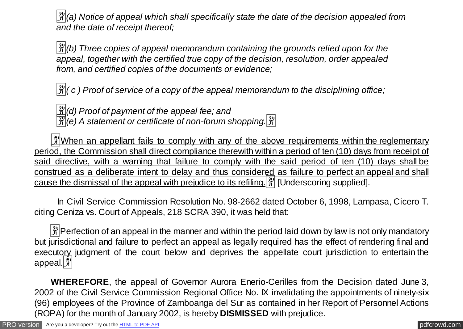�*(a) Notice of appeal which shall specifically state the date of the decision appealed from and the date of receipt thereof;*

�*(b) Three copies of appeal memorandum containing the grounds relied upon for the appeal, together with the certified true copy of the decision, resolution, order appealed from, and certified copies of the documents or evidence;*

 $\frac{29}{31}$  c) Proof of service of a copy of the appeal memorandum to the disciplining office;

�*(d) Proof of payment of the appeal fee; and* 

 $\mathbb{F}(\epsilon)$  A statement or certificate of non-forum shopping.  $\mathbb{F}(\epsilon)$ 

 $\frac{3}{4}$  When an appellant fails to comply with any of the above requirements within the reglementary period, the Commission shall direct compliance therewith within a period of ten (10) days from receipt of said directive, with a warning that failure to comply with the said period of ten (10) days shall be construed as a deliberate intent to delay and thus considered as failure to perfect an appeal and shall cause the dismissal of the appeal with prejudice to its refiling.  $\frac{2\pi}{3}$  [Underscoring supplied].

 In Civil Service Commission Resolution No. 98-2662 dated October 6, 1998, Lampasa, Cicero T. citing Ceniza vs. Court of Appeals, 218 SCRA 390, it was held that:

 $\frac{3}{4}$ Perfection of an appeal in the manner and within the period laid down by law is not only mandatory but jurisdictional and failure to perfect an appeal as legally required has the effect of rendering final and executory judgment of the court below and deprives the appellate court jurisdiction to entertain the appeal. $\mathcal{Z}$ 

 **WHEREFORE**, the appeal of Governor Aurora Enerio-Cerilles from the Decision dated June 3, 2002 of the Civil Service Commission Regional Office No. IX invalidating the appointments of ninety-six (96) employees of the Province of Zamboanga del Sur as contained in her Report of Personnel Actions (ROPA) for the month of January 2002, is hereby **DISMISSED** with prejudice.

[PRO version](http://pdfcrowd.com/customize/) Are you a developer? Try out th[e HTML to PDF API](http://pdfcrowd.com/html-to-pdf-api/?ref=pdf) [pdfcrowd.com](http://pdfcrowd.com)